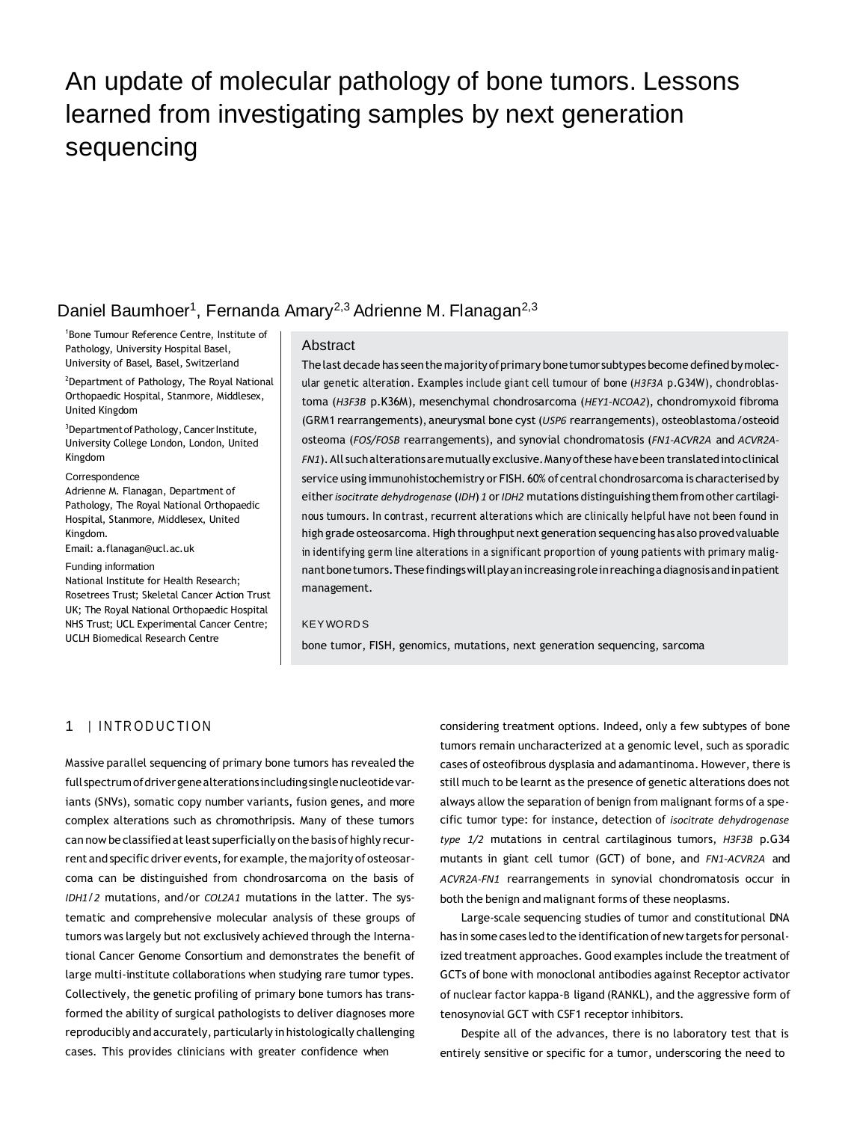# An update of molecular pathology of bone tumors. Lessons learned from investigating samples by next generation sequencing

# Daniel Baumhoer<sup>1</sup>, Fernanda Amary<sup>2,3</sup> Adrienne M. Flanagan<sup>2,3</sup>

1 Bone Tumour Reference Centre, Institute of Pathology, University Hospital Basel, University of Basel, Basel, Switzerland

<sup>2</sup>Department of Pathology, The Royal National Orthopaedic Hospital, Stanmore, Middlesex, United Kingdom

<sup>3</sup>Department of Pathology, Cancer Institute, University College London, London, United Kingdom

#### **Correspondence**

Adrienne M. Flanagan, Department of Pathology, The Royal National Orthopaedic Hospital, Stanmore, Middlesex, United Kingdom.

Email[: a.flanagan@ucl.ac.uk](mailto:a.flanagan@ucl.ac.uk)

#### Funding information

National Institute for Health Research; Rosetrees Trust; Skeletal Cancer Action Trust UK; The Royal National Orthopaedic Hospital NHS Trust; UCL Experimental Cancer Centre; UCLH Biomedical Research Centre

#### Abstract

Thelast decade has seenthe majorityofprimary bonetumor subtypes become defined bymolecular genetic alteration. Examples include giant cell tumour of bone (*H3F3A* p.G34W), chondroblastoma (*H3F3B* p.K36M), mesenchymal chondrosarcoma (*HEY1-NCOA2*), chondromyxoid fibroma (GRM1 rearrangements), aneurysmal bone cyst (*USP6* rearrangements), osteoblastoma/osteoid osteoma (*FOS/FOSB* rearrangements), and synovial chondromatosis (*FN1-ACVR2A* and *ACVR2A-FN1*).All suchalterationsaremutually exclusive.Manyofthese havebeen translatedintoclinical service using immunohistochemistry or FISH. 60% of central chondrosarcoma is characterised by either*isocitrate dehydrogenase* (*IDH*) *1* or*IDH2* mutations distinguishingthemfromother cartilaginous tumours. In contrast, recurrent alterations which are clinically helpful have not been found in high grade osteosarcoma.High throughput next generation sequencing has also provedvaluable in identifying germ line alterations in a significant proportion of young patients with primary malignantbonetumors.Thesefindingswillplayanincreasingroleinreachingadiagnosisandinpatient management.

#### **KEY WORDS**

bone tumor, FISH, genomics, mutations, next generation sequencing, sarcoma

#### 1 | INTRODUCTION

Massive parallel sequencing of primary bone tumors has revealed the full spectrum of driver gene alterations including single nucleotide variants (SNVs), somatic copy number variants, fusion genes, and more complex alterations such as chromothripsis. Many of these tumors can now be classified at least superficially on the basis of highly recurrent and specific driver events, for example, the majority of osteosarcoma can be distinguished from chondrosarcoma on the basis of *IDH1*/*2* mutations, and/or *COL2A1* mutations in the latter. The systematic and comprehensive molecular analysis of these groups of tumors was largely but not exclusively achieved through the International Cancer Genome Consortium and demonstrates the benefit of large multi-institute collaborations when studying rare tumor types. Collectively, the genetic profiling of primary bone tumors has transformed the ability of surgical pathologists to deliver diagnoses more reproducibly and accurately, particularly in histologically challenging cases. This provides clinicians with greater confidence when

considering treatment options. Indeed, only a few subtypes of bone tumors remain uncharacterized at a genomic level, such as sporadic cases of osteofibrous dysplasia and adamantinoma. However, there is still much to be learnt as the presence of genetic alterations does not always allow the separation of benign from malignant forms of a specific tumor type: for instance, detection of *isocitrate dehydrogenase type 1/2* mutations in central cartilaginous tumors, *H3F3B* p.G34 mutants in giant cell tumor (GCT) of bone, and *FN1-ACVR2A* and *ACVR2A-FN1* rearrangements in synovial chondromatosis occur in both the benign and malignant forms of these neoplasms.

Large-scale sequencing studies of tumor and constitutional DNA has in some cases led to the identification of new targets for personalized treatment approaches. Good examples include the treatment of GCTs of bone with monoclonal antibodies against Receptor activator of nuclear factor kappa-Β ligand (RANKL), and the aggressive form of tenosynovial GCT with CSF1 receptor inhibitors.

Despite all of the advances, there is no laboratory test that is entirely sensitive or specific for a tumor, underscoring the need to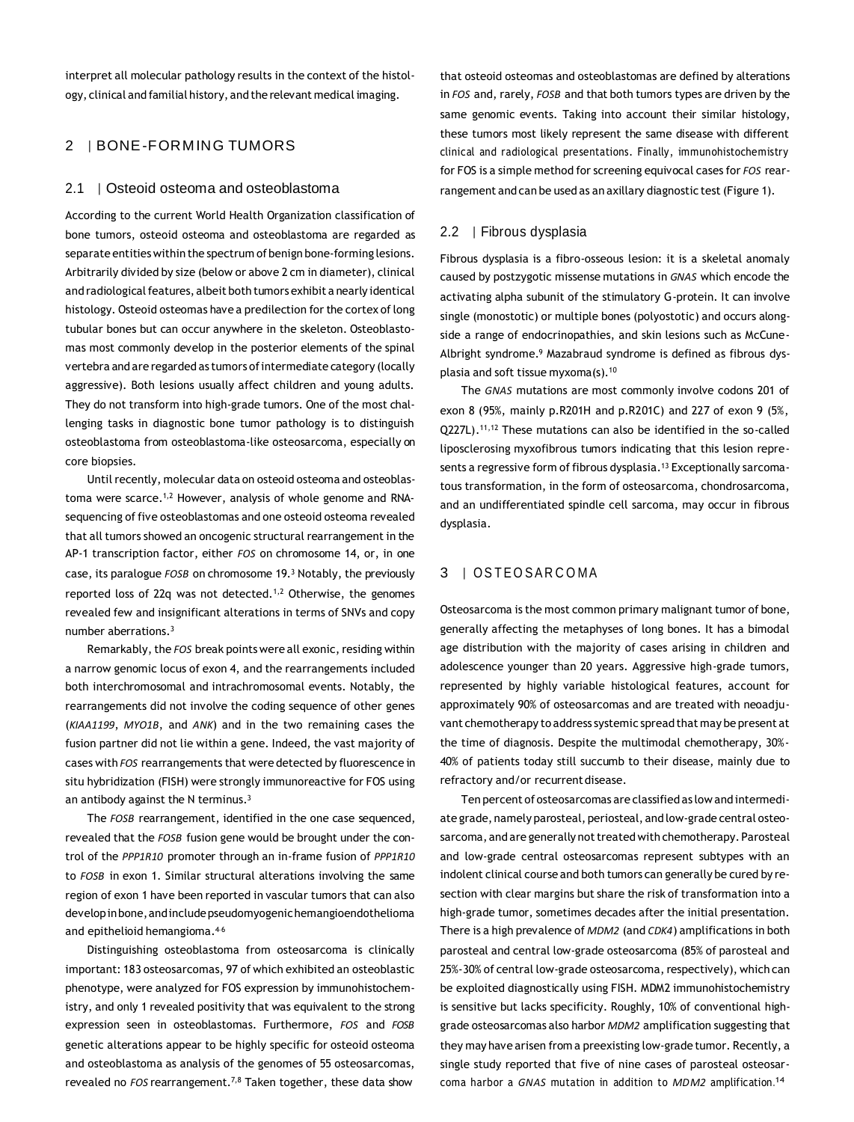interpret all molecular pathology results in the context of the histology, clinical and familial history, and the relevant medical imaging.

## 2 | BONE-FORMING TUMORS

#### 2.1 | Osteoid osteoma and osteoblastoma

According to the current World Health Organization classification of bone tumors, osteoid osteoma and osteoblastoma are regarded as separate entities within the spectrum of benign bone-forming lesions. Arbitrarily divided by size (below or above 2 cm in diameter), clinical and radiological features, albeit both tumors exhibit a nearly identical histology. Osteoid osteomas have a predilection for the cortex of long tubular bones but can occur anywhere in the skeleton. Osteoblastomas most commonly develop in the posterior elements of the spinal vertebra and are regarded as tumors of intermediate category (locally aggressive). Both lesions usually affect children and young adults. They do not transform into high-grade tumors. One of the most challenging tasks in diagnostic bone tumor pathology is to distinguish osteoblastoma from osteoblastoma-like osteosarcoma, especially on core biopsies.

Until recently, molecular data on osteoid osteoma and osteoblastoma were scarce.1,2 However, analysis of whole genome and RNAsequencing of five osteoblastomas and one osteoid osteoma revealed that all tumors showed an oncogenic structural rearrangement in the AP-1 transcription factor, either *FOS* on chromosome 14, or, in one case, its paralogue *FOSB* on chromosome 19.<sup>3</sup> Notably, the previously reported loss of 22q was not detected.<sup>1,2</sup> Otherwise, the genomes revealed few and insignificant alterations in terms of SNVs and copy number aberrations.<sup>3</sup>

Remarkably, the *FOS* break points were all exonic, residing within a narrow genomic locus of exon 4, and the rearrangements included both interchromosomal and intrachromosomal events. Notably, the rearrangements did not involve the coding sequence of other genes (*KIAA1199*, *MYO1B*, and *ANK*) and in the two remaining cases the fusion partner did not lie within a gene. Indeed, the vast majority of cases with *FOS* rearrangements that were detected by fluorescence in situ hybridization (FISH) were strongly immunoreactive for FOS using an antibody against the N terminus.<sup>3</sup>

The *FOSB* rearrangement, identified in the one case sequenced, revealed that the *FOSB* fusion gene would be brought under the control of the *PPP1R10* promoter through an in-frame fusion of *PPP1R10*  to *FOSB* in exon 1. Similar structural alterations involving the same region of exon 1 have been reported in vascular tumors that can also developinbone,andincludepseudomyogenichemangioendothelioma and epithelioid hemangioma.<sup>46</sup>

Distinguishing osteoblastoma from osteosarcoma is clinically important: 183 osteosarcomas, 97 of which exhibited an osteoblastic phenotype, were analyzed for FOS expression by immunohistochemistry, and only 1 revealed positivity that was equivalent to the strong expression seen in osteoblastomas. Furthermore, *FOS* and *FOSB*  genetic alterations appear to be highly specific for osteoid osteoma and osteoblastoma as analysis of the genomes of 55 osteosarcomas, revealed no *FOS* rearrangement.7,8 Taken together, these data show

that osteoid osteomas and osteoblastomas are defined by alterations in *FOS* and, rarely, *FOSB* and that both tumors types are driven by the same genomic events. Taking into account their similar histology, these tumors most likely represent the same disease with different clinical and radiological presentations. Finally, immunohistochemistry for FOS is a simple method for screening equivocal cases for *FOS* rearrangement and can be used as an axillary diagnostic test (Figure 1).

#### 2.2 | Fibrous dysplasia

Fibrous dysplasia is a fibro-osseous lesion: it is a skeletal anomaly caused by postzygotic missense mutations in *GNAS* which encode the activating alpha subunit of the stimulatory G-protein. It can involve single (monostotic) or multiple bones (polyostotic) and occurs alongside a range of endocrinopathies, and skin lesions such as McCune-Albright syndrome.<sup>9</sup> Mazabraud syndrome is defined as fibrous dysplasia and soft tissue myxoma(s).<sup>10</sup>

The *GNAS* mutations are most commonly involve codons 201 of exon 8 (95%, mainly p.R201H and p.R201C) and 227 of exon 9 (5%, Q227L).11,12 These mutations can also be identified in the so-called liposclerosing myxofibrous tumors indicating that this lesion represents a regressive form of fibrous dysplasia.<sup>13</sup> Exceptionally sarcomatous transformation, in the form of osteosarcoma, chondrosarcoma, and an undifferentiated spindle cell sarcoma, may occur in fibrous dysplasia.

#### 3 | OSTEOSARCOMA

Osteosarcoma is the most common primary malignant tumor of bone, generally affecting the metaphyses of long bones. It has a bimodal age distribution with the majority of cases arising in children and adolescence younger than 20 years. Aggressive high-grade tumors, represented by highly variable histological features, account for approximately 90% of osteosarcomas and are treated with neoadjuvant chemotherapy to address systemic spread that may be present at the time of diagnosis. Despite the multimodal chemotherapy, 30%- 40% of patients today still succumb to their disease, mainly due to refractory and/or recurrent disease.

Ten percent of osteosarcomas are classified as low and intermediate grade, namely parosteal, periosteal, and low-grade central osteosarcoma, and are generally not treated with chemotherapy. Parosteal and low-grade central osteosarcomas represent subtypes with an indolent clinical course and both tumors can generally be cured by resection with clear margins but share the risk of transformation into a high-grade tumor, sometimes decades after the initial presentation. There is a high prevalence of *MDM2* (and *CDK4*) amplifications in both parosteal and central low-grade osteosarcoma (85% of parosteal and 25%-30% of central low-grade osteosarcoma, respectively), which can be exploited diagnostically using FISH. MDM2 immunohistochemistry

is sensitive but lacks specificity. Roughly, 10% of conventional highgrade osteosarcomas also harbor *MDM2* amplification suggesting that they may have arisen from a preexisting low-grade tumor. Recently, a single study reported that five of nine cases of parosteal osteosarcoma harbor a *GNAS* mutation in addition to *MDM2* amplification. 14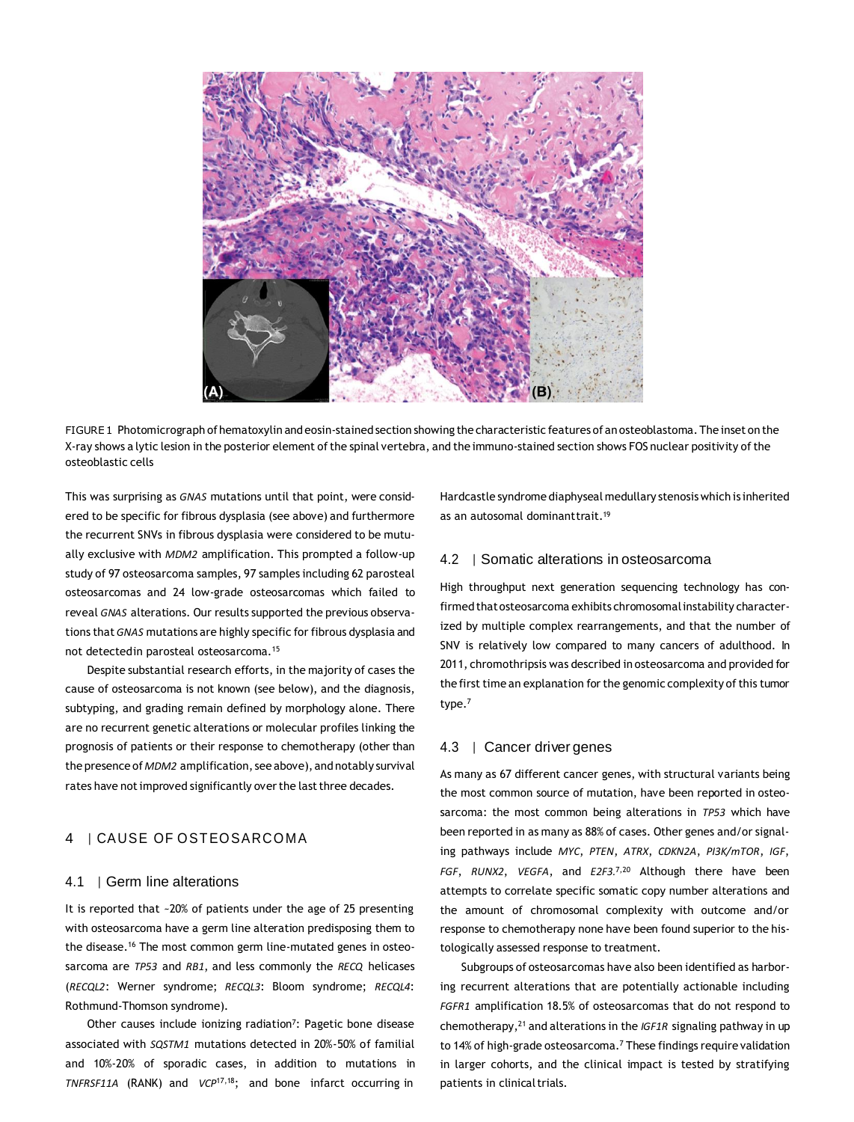

FIGURE1 Photomicrograph of hematoxylin and eosin-stained section showing the characteristic features of an osteoblastoma. The inset on the X-ray shows a lytic lesion in the posterior element of the spinal vertebra, and the immuno-stained section shows FOS nuclear positivity of the osteoblastic cells

This was surprising as *GNAS* mutations until that point, were considered to be specific for fibrous dysplasia (see above) and furthermore the recurrent SNVs in fibrous dysplasia were considered to be mutually exclusive with *MDM2* amplification. This prompted a follow-up study of 97 osteosarcoma samples, 97 samples including 62 parosteal osteosarcomas and 24 low-grade osteosarcomas which failed to reveal *GNAS* alterations. Our results supported the previous observations that*GNAS* mutations are highly specific for fibrous dysplasia and not detectedin parosteal osteosarcoma.<sup>15</sup>

Despite substantial research efforts, in the majority of cases the cause of osteosarcoma is not known (see below), and the diagnosis, subtyping, and grading remain defined by morphology alone. There are no recurrent genetic alterations or molecular profiles linking the prognosis of patients or their response to chemotherapy (other than the presence of*MDM2* amplification, see above), and notably survival rates have not improved significantly over the last three decades.

## 4 | CAUSE OF OSTEOSARCOMA

#### 4.1 | Germ line alterations

It is reported that ~20% of patients under the age of 25 presenting with osteosarcoma have a germ line alteration predisposing them to the disease.<sup>16</sup> The most common germ line-mutated genes in osteosarcoma are *TP53* and *RB1*, and less commonly the *RECQ* helicases (*RECQL2*: Werner syndrome; *RECQL3*: Bloom syndrome; *RECQL4*: Rothmund-Thomson syndrome).

Other causes include ionizing radiation<sup>7</sup>: Pagetic bone disease associated with *SQSTM1* mutations detected in 20%-50% of familial and 10%-20% of sporadic cases, in addition to mutations in *TNFRSF11A* (RANK) and *VCP*17,18; and bone infarct occurring in Hardcastle syndrome diaphyseal medullary stenosis which is inherited as an autosomal dominanttrait.<sup>19</sup>

#### 4.2 | Somatic alterations in osteosarcoma

High throughput next generation sequencing technology has confirmed thatosteosarcoma exhibits chromosomalinstability characterized by multiple complex rearrangements, and that the number of SNV is relatively low compared to many cancers of adulthood. In 2011, chromothripsis was described in osteosarcoma and provided for the first time an explanation for the genomic complexity of this tumor type.<sup>7</sup>

#### 4.3 | Cancer driver genes

As many as 67 different cancer genes, with structural variants being the most common source of mutation, have been reported in osteosarcoma: the most common being alterations in *TP53* which have been reported in as many as 88% of cases. Other genes and/or signaling pathways include *MYC*, *PTEN*, *ATRX*, *CDKN2A*, *PI3K/mTOR*, *IGF*, *FGF*, *RUNX2*, *VEGFA*, and *E2F3.*7,20 Although there have been attempts to correlate specific somatic copy number alterations and the amount of chromosomal complexity with outcome and/or response to chemotherapy none have been found superior to the histologically assessed response to treatment.

Subgroups of osteosarcomas have also been identified as harboring recurrent alterations that are potentially actionable including *FGFR1* amplification 18.5% of osteosarcomas that do not respond to chemotherapy,<sup>21</sup> and alterations in the *IGF1R* signaling pathway in up to 14% of high-grade osteosarcoma.<sup>7</sup> These findings require validation in larger cohorts, and the clinical impact is tested by stratifying patients in clinical trials.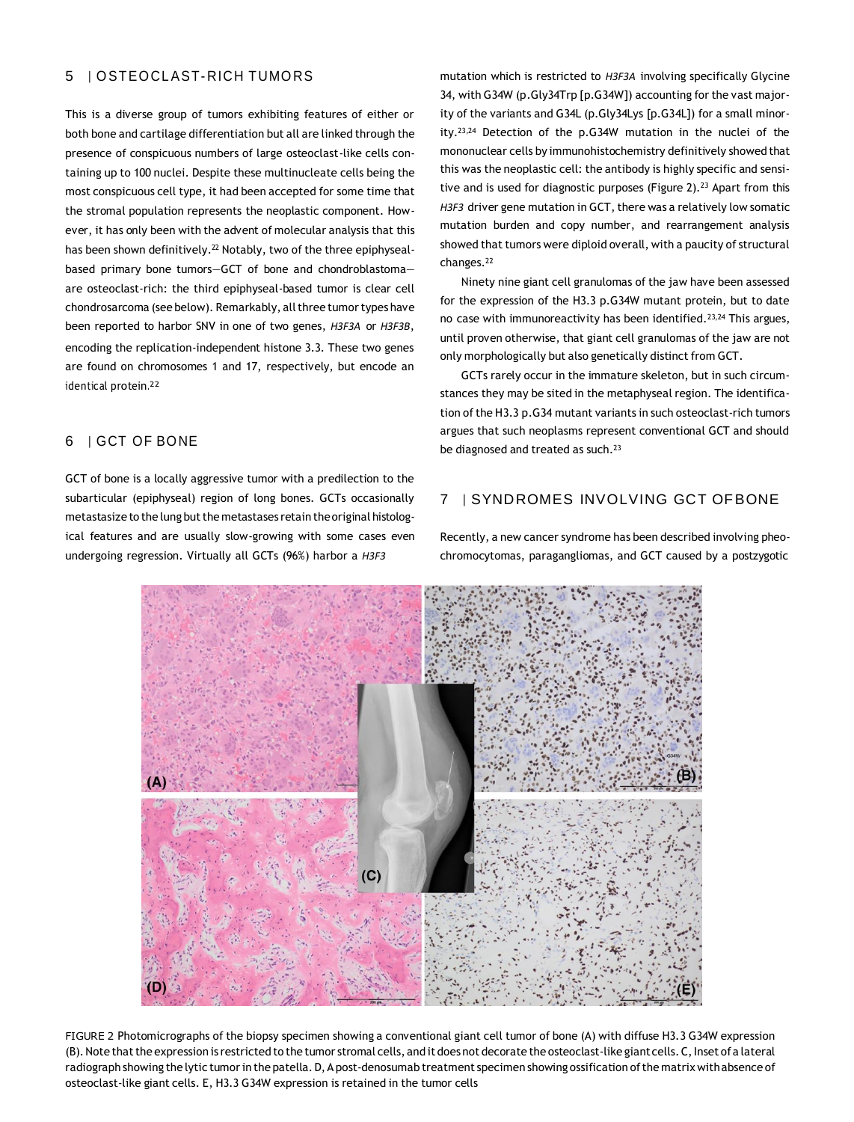#### 5 | O STEO CL AST- RICH TUMO RS

This is a diverse group of tumors exhibiting features of either or both bone and cartilage differentiation but all are linked through the presence of conspicuous numbers of large osteoclast-like cells containing up to 100 nuclei. Despite these multinucleate cells being the most conspicuous cell type, it had been accepted for some time that the stromal population represents the neoplastic component. However, it has only been with the advent of molecular analysis that this has been shown definitively.<sup>22</sup> Notably, two of the three epiphysealbased primary bone tumors—GCT of bone and chondroblastoma are osteoclast-rich: the third epiphyseal-based tumor is clear cell chondrosarcoma (see below). Remarkably, all three tumor types have been reported to harbor SNV in one of two genes, *H3F3A* or *H3F3B*, encoding the replication-independent histone 3.3. These two genes are found on chromosomes 1 and 17, respectively, but encode an identical protein. 22

## 6 | GCT OF BO NE

GCT of bone is a locally aggressive tumor with a predilection to the subarticular (epiphyseal) region of long bones. GCTs occasionally metastasize to the lung but the metastases retain the original histological features and are usually slow-growing with some cases even undergoing regression. Virtually all GCTs (96%) harbor a *H3F3*

mutation which is restricted to *H3F3A* involving specifically Glycine 34, with G34W (p.Gly34Trp [p.G34W]) accounting for the vast majority of the variants and G34L (p.Gly34Lys [p.G34L]) for a small minority.23,24 Detection of the p.G34W mutation in the nuclei of the mononuclear cells by immunohistochemistry definitively showed that this was the neoplastic cell: the antibody is highly specific and sensitive and is used for diagnostic purposes (Figure 2).<sup>23</sup> Apart from this H3F3 driver gene mutation in GCT, there was a relatively low somatic mutation burden and copy number, and rearrangement analysis showed that tumors were diploid overall, with a paucity of structural changes.<sup>22</sup>

Ninety nine giant cell granulomas of the jaw have been assessed for the expression of the H3.3 p.G34W mutant protein, but to date no case with immunoreactivity has been identified.23,24 This argues, until proven otherwise, that giant cell granulomas of the jaw are not only morphologically but also genetically distinct from GCT.

GCTs rarely occur in the immature skeleton, but in such circumstances they may be sited in the metaphyseal region. The identification of the H3.3 p.G34 mutant variants in such osteoclast-rich tumors argues that such neoplasms represent conventional GCT and should be diagnosed and treated as such.<sup>23</sup>

#### 7 | SYNDROMES INVOLVING GCT OFBONE

Recently, a new cancer syndrome has been described involving pheochromocytomas, paragangliomas, and GCT caused by a postzygotic



FIGURE 2 Photomicrographs of the biopsy specimen showing a conventional giant cell tumor of bone (A) with diffuse H3.3 G34W expression (B). Note that the expression is restricted to the tumor stromal cells, and it does not decorate the osteoclast-like giant cells. C, Inset of a lateral radiograph showing the lytic tumorin the patella.D,A post-denosumab treatment specimen showing ossification ofthe matrix withabsence of osteoclast-like giant cells. E, H3.3 G34W expression is retained in the tumor cells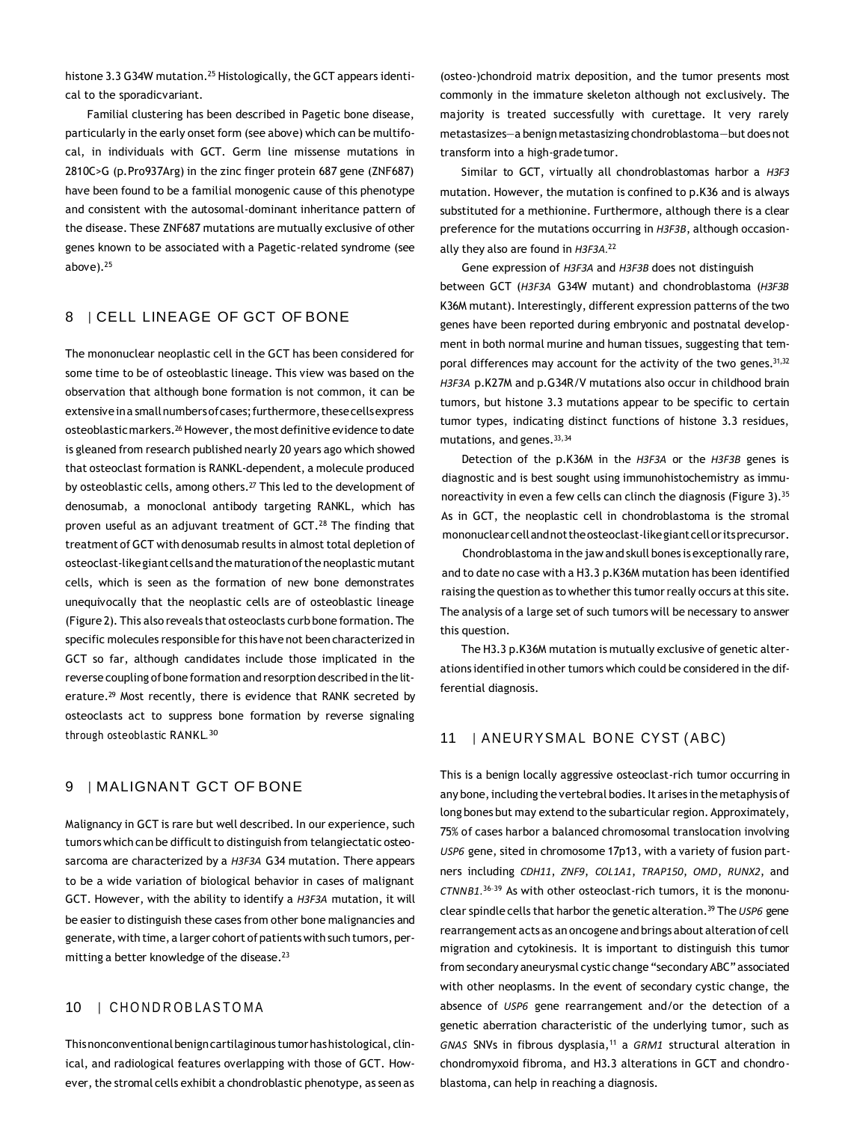histone 3.3 G34W mutation.<sup>25</sup> Histologically, the GCT appears identical to the sporadicvariant.

Familial clustering has been described in Pagetic bone disease, particularly in the early onset form (see above) which can be multifocal, in individuals with GCT. Germ line missense mutations in 2810C>G (p.Pro937Arg) in the zinc finger protein 687 gene (ZNF687) have been found to be a familial monogenic cause of this phenotype and consistent with the autosomal-dominant inheritance pattern of the disease. These ZNF687 mutations are mutually exclusive of other genes known to be associated with a Pagetic-related syndrome (see above).<sup>25</sup>

## 8 | CELL LINEAGE OF GCT OF BONE

The mononuclear neoplastic cell in the GCT has been considered for some time to be of osteoblastic lineage. This view was based on the observation that although bone formation is not common, it can be extensive in a small numbers of cases; furthermore, these cells express osteoblastic markers.<sup>26</sup> However, the most definitive evidence to date is gleaned from research published nearly 20 years ago which showed that osteoclast formation is RANKL-dependent, a molecule produced by osteoblastic cells, among others.<sup>27</sup> This led to the development of denosumab, a monoclonal antibody targeting RANKL, which has proven useful as an adjuvant treatment of GCT.<sup>28</sup> The finding that treatment of GCT with denosumab results in almost total depletion of osteoclast-likegiantcellsand the maturationofthe neoplastic mutant cells, which is seen as the formation of new bone demonstrates unequivocally that the neoplastic cells are of osteoblastic lineage (Figure 2). This also reveals that osteoclasts curb bone formation.The specific molecules responsible for this have not been characterized in GCT so far, although candidates include those implicated in the reverse coupling of bone formation and resorption described in the literature.<sup>29</sup> Most recently, there is evidence that RANK secreted by osteoclasts act to suppress bone formation by reverse signaling through osteoblastic RANKL.<sup>30</sup>

## 9 | MALIGNANT GCT OF BONE

Malignancy in GCT is rare but well described. In our experience, such tumors which can be difficult to distinguish from telangiectatic osteosarcoma are characterized by a *H3F3A* G34 mutation. There appears to be a wide variation of biological behavior in cases of malignant GCT. However, with the ability to identify a *H3F3A* mutation, it will be easier to distinguish these cases from other bone malignancies and generate, with time, a larger cohort of patients with such tumors, permitting a better knowledge of the disease.<sup>23</sup>

## 10 | CHONDROBLASTOMA

Thisnonconventionalbenigncartilaginous tumorhashistological, clinical, and radiological features overlapping with those of GCT. However, the stromal cells exhibit a chondroblastic phenotype, as seen as

(osteo-)chondroid matrix deposition, and the tumor presents most commonly in the immature skeleton although not exclusively. The majority is treated successfully with curettage. It very rarely metastasizes—a benign metastasizing chondroblastoma—but does not transform into a high-gradetumor.

Similar to GCT, virtually all chondroblastomas harbor a *H3F3*  mutation. However, the mutation is confined to p.K36 and is always substituted for a methionine. Furthermore, although there is a clear preference for the mutations occurring in *H3F3B*, although occasionally they also are found in *H3F3A.*<sup>22</sup>

Gene expression of *H3F3A* and *H3F3B* does not distinguish between GCT (*H3F3A* G34W mutant) and chondroblastoma (*H3F3B*  K36M mutant). Interestingly, different expression patterns of the two genes have been reported during embryonic and postnatal development in both normal murine and human tissues, suggesting that temporal differences may account for the activity of the two genes. 31,32 *H3F3A* p.K27M and p.G34R/V mutations also occur in childhood brain tumors, but histone 3.3 mutations appear to be specific to certain tumor types, indicating distinct functions of histone 3.3 residues, mutations, and genes.33,34

Detection of the p.K36M in the *H3F3A* or the *H3F3B* genes is diagnostic and is best sought using immunohistochemistry as immunoreactivity in even a few cells can clinch the diagnosis (Figure 3).<sup>35</sup> As in GCT, the neoplastic cell in chondroblastoma is the stromal mononuclearcellandnottheosteoclast-likegiantcelloritsprecursor.

Chondroblastoma in the jaw and skull bones is exceptionally rare, and to date no case with a H3.3 p.K36M mutation has been identified raising the question as to whether this tumor really occurs at this site. The analysis of a large set of such tumors will be necessary to answer this question.

The H3.3 p.K36M mutation is mutually exclusive of genetic alterations identified in other tumors which could be considered in the differential diagnosis.

#### 11 | ANEURYSMAL BONE CYST (ABC)

This is a benign locally aggressive osteoclast-rich tumor occurring in any bone, including the vertebral bodies. It arises in the metaphysis of long bones but may extend to the subarticular region. Approximately, 75% of cases harbor a balanced chromosomal translocation involving *USP6* gene, sited in chromosome 17p13, with a variety of fusion partners including *CDH11*, *ZNF9*, *COL1A1*, *TRAP150*, *OMD*, *RUNX2*, and *CTNNB1.*<sup>36</sup>–<sup>39</sup> As with other osteoclast-rich tumors, it is the mononuclear spindle cells that harbor the genetic alteration.<sup>39</sup> The*USP6* gene rearrangement acts as an oncogene and brings about alteration of cell migration and cytokinesis. It is important to distinguish this tumor from secondary aneurysmal cystic change "secondary ABC"associated with other neoplasms. In the event of secondary cystic change, the absence of *USP6* gene rearrangement and/or the detection of a genetic aberration characteristic of the underlying tumor, such as *GNAS* SNVs in fibrous dysplasia,<sup>11</sup> a *GRM1* structural alteration in chondromyxoid fibroma, and H3.3 alterations in GCT and chondroblastoma, can help in reaching a diagnosis.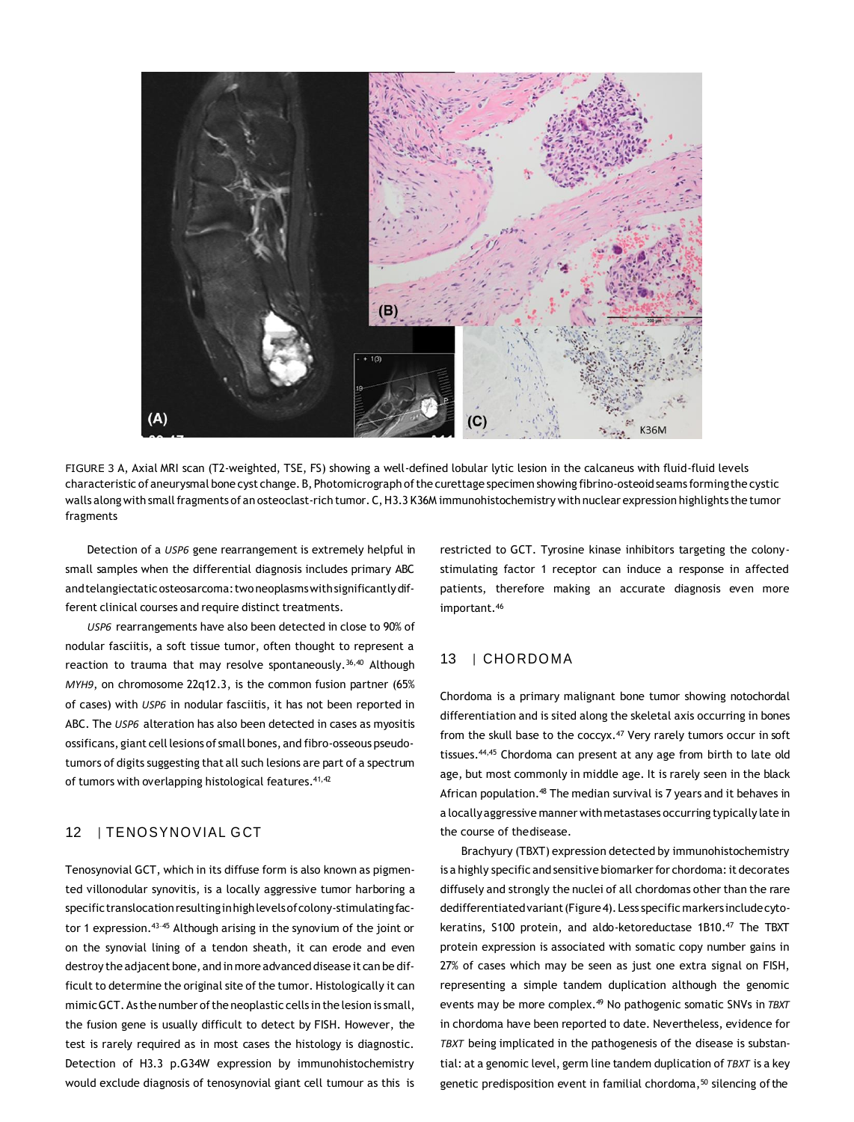

FIGURE 3 A, Axial MRI scan (T2-weighted, TSE, FS) showing a well-defined lobular lytic lesion in the calcaneus with fluid-fluid levels characteristic ofaneurysmal bone cyst change.B,Photomicrograph ofthe curettage specimen showing fibrino-osteoid seams formingthe cystic walls along with small fragments of an osteoclast-rich tumor. C, H3.3 K36M immunohistochemistry with nuclear expression highlights the tumor fragments

Detection of a *USP6* gene rearrangement is extremely helpful in small samples when the differential diagnosis includes primary ABC and telangiectatic osteosarcoma: two neoplasms with significantly different clinical courses and require distinct treatments.

*USP6* rearrangements have also been detected in close to 90% of nodular fasciitis, a soft tissue tumor, often thought to represent a reaction to trauma that may resolve spontaneously.  $36,40$  Although *MYH9*, on chromosome 22q12.3, is the common fusion partner (65% of cases) with *USP6* in nodular fasciitis, it has not been reported in ABC. The *USP6* alteration has also been detected in cases as myositis ossificans, giant cell lesions of small bones, and fibro-osseous pseudotumors of digits suggesting that all such lesions are part of a spectrum of tumors with overlapping histological features.<sup>41,42</sup>

#### 12 | TENOSYNOVIAL GCT

Tenosynovial GCT, which in its diffuse form is also known as pigmented villonodular synovitis, is a locally aggressive tumor harboring a specific translocation resulting in high levels of colony-stimulating factor 1 expression.<sup>43-45</sup> Although arising in the synovium of the joint or on the synovial lining of a tendon sheath, it can erode and even destroy the adjacent bone, and in more advanced disease it can be difficult to determine the original site of the tumor. Histologically it can mimic GCT. As the number of the neoplastic cells in the lesion is small, the fusion gene is usually difficult to detect by FISH. However, the test is rarely required as in most cases the histology is diagnostic. Detection of H3.3 p.G34W expression by immunohistochemistry would exclude diagnosis of tenosynovial giant cell tumour as this is

restricted to GCT. Tyrosine kinase inhibitors targeting the colonystimulating factor 1 receptor can induce a response in affected patients, therefore making an accurate diagnosis even more important.<sup>46</sup>

## 13 | CHORDOMA

Chordoma is a primary malignant bone tumor showing notochordal differentiation and is sited along the skeletal axis occurring in bones from the skull base to the coccyx.<sup>47</sup> Very rarely tumors occur in soft tissues.44,45 Chordoma can present at any age from birth to late old age, but most commonly in middle age. It is rarely seen in the black African population.<sup>48</sup> The median survival is 7 years and it behaves in a locallyaggressive manner withmetastases occurring typically late in the course of thedisease.

Brachyury (TBXT) expression detected by immunohistochemistry is a highly specific and sensitive biomarker for chordoma: it decorates diffusely and strongly the nuclei of all chordomas other than the rare dedifferentiatedvariant(Figure4). Less specific markers includecytokeratins, S100 protein, and aldo-ketoreductase 1B10.<sup>47</sup> The TBXT protein expression is associated with somatic copy number gains in 27% of cases which may be seen as just one extra signal on FISH, representing a simple tandem duplication although the genomic events may be more complex.<sup>49</sup> No pathogenic somatic SNVs in *TBXT*  in chordoma have been reported to date. Nevertheless, evidence for *TBXT* being implicated in the pathogenesis of the disease is substantial: at a genomic level, germ line tandem duplication of *TBXT* is a key genetic predisposition event in familial chordoma,<sup>50</sup> silencing of the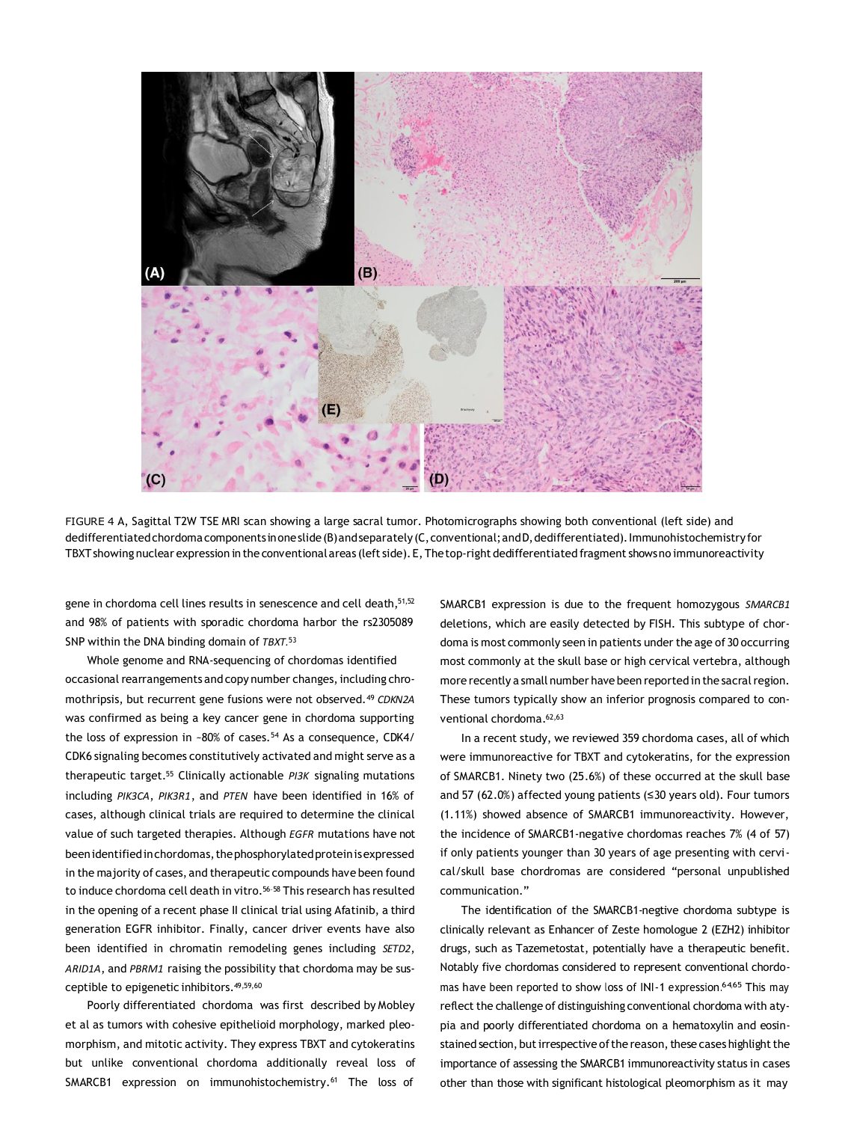

FIGURE 4 A, Sagittal T2W TSE MRI scan showing a large sacral tumor. Photomicrographs showing both conventional (left side) and dedifferentiated chordoma components in one slide (B) and separately (C, conventional; and D, dedifferentiated). Immunohistochemistry for TBXT showing nuclear expression in the conventional areas (left side). E, The top-right dedifferentiated fragment shows no immunoreactivity

gene in chordoma cell lines results in senescence and cell death, 51, 52 and 98% of patients with sporadic chordoma harbor the rs2305089 SNP within the DNA binding domain of *TBXT.*<sup>53</sup>

Whole genome and RNA-sequencing of chordomas identified occasional rearrangements and copy number changes, including chromothripsis, but recurrent gene fusions were not observed.<sup>49</sup> *CDKN2A*  was confirmed as being a key cancer gene in chordoma supporting the loss of expression in ~80% of cases.<sup>54</sup> As a consequence, CDK4/ CDK6 signaling becomes constitutively activated and might serve as a therapeutic target.<sup>55</sup> Clinically actionable *PI3K* signaling mutations including *PIK3CA*, *PIK3R1*, and *PTEN* have been identified in 16% of cases, although clinical trials are required to determine the clinical value of such targeted therapies. Although *EGFR* mutations have not beenidentifiedinchordomas,thephosphorylatedproteinisexpressed in the majority of cases, and therapeutic compounds have been found to induce chordoma cell death in vitro.<sup>56-58</sup> This research has resulted in the opening of a recent phase II clinical trial using Afatinib, a third generation EGFR inhibitor. Finally, cancer driver events have also been identified in chromatin remodeling genes including *SETD2*, *ARID1A*, and *PBRM1* raising the possibility that chordoma may be susceptible to epigenetic inhibitors.49,59,60

Poorly differentiated chordoma was first described by Mobley et al as tumors with cohesive epithelioid morphology, marked pleomorphism, and mitotic activity. They express TBXT and cytokeratins but unlike conventional chordoma additionally reveal loss of SMARCB1 expression on immunohistochemistry.<sup>61</sup> The loss of

SMARCB1 expression is due to the frequent homozygous *SMARCB1*  deletions, which are easily detected by FISH. This subtype of chordoma is most commonly seen in patients under the age of 30 occurring most commonly at the skull base or high cervical vertebra, although more recently a small number have been reported in the sacral region. These tumors typically show an inferior prognosis compared to conventional chordoma.<sup>62,63</sup>

In a recent study, we reviewed 359 chordoma cases, all of which were immunoreactive for TBXT and cytokeratins, for the expression of SMARCB1. Ninety two (25.6%) of these occurred at the skull base and 57 (62.0%) affected young patients (≤30 years old). Four tumors (1.11%) showed absence of SMARCB1 immunoreactivity. However, the incidence of SMARCB1-negative chordomas reaches 7% (4 of 57) if only patients younger than 30 years of age presenting with cervical/skull base chordromas are considered "personal unpublished communication."

The identification of the SMARCB1-negtive chordoma subtype is clinically relevant as Enhancer of Zeste homologue 2 (EZH2) inhibitor drugs, such as Tazemetostat, potentially have a therapeutic benefit. Notably five chordomas considered to represent conventional chordomas have been reported to show loss of INI-1 expression.<sup>64,65</sup> This may reflect the challenge of distinguishing conventional chordoma with atypia and poorly differentiated chordoma on a hematoxylin and eosinstained section, but irrespective of the reason, these cases highlight the importance of assessing the SMARCB1 immunoreactivity status in cases other than those with significant histological pleomorphism as it may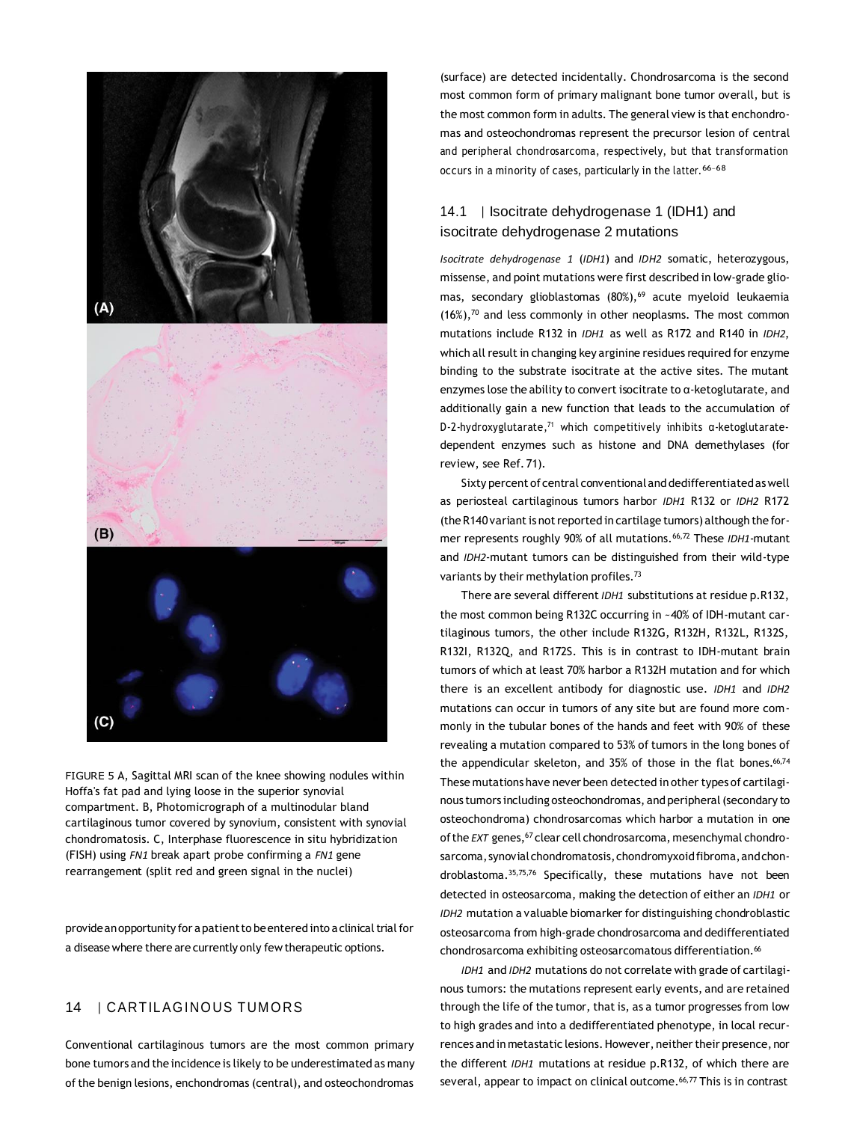

FIGURE 5 A, Sagittal MRI scan of the knee showing nodules within Hoffa's fat pad and lying loose in the superior synovial compartment. B, Photomicrograph of a multinodular bland cartilaginous tumor covered by synovium, consistent with synovial chondromatosis. C, Interphase fluorescence in situ hybridization (FISH) using *FN1* break apart probe confirming a *FN1* gene rearrangement (split red and green signal in the nuclei)

provide an opportunity for a patient to be entered into a clinical trial for a disease where there are currently only few therapeutic options.

## 14 | CARTILAGINOUS TUMORS

Conventional cartilaginous tumors are the most common primary bone tumors and the incidence is likely to be underestimated as many of the benign lesions, enchondromas (central), and osteochondromas

(surface) are detected incidentally. Chondrosarcoma is the second most common form of primary malignant bone tumor overall, but is the most common form in adults. The general view is that enchondromas and osteochondromas represent the precursor lesion of central and peripheral chondrosarcoma, respectively, but that transformation occurs in a minority of cases, particularly in the latter. 66–68

# 14.1 | Isocitrate dehydrogenase 1 (IDH1) and isocitrate dehydrogenase 2 mutations

*Isocitrate dehydrogenase 1* (*IDH1*) and *IDH2* somatic, heterozygous, missense, and point mutations were first described in low-grade gliomas, secondary glioblastomas (80%),<sup>69</sup> acute myeloid leukaemia (16%),<sup>70</sup> and less commonly in other neoplasms. The most common mutations include R132 in *IDH1* as well as R172 and R140 in *IDH2*, which all result in changing key arginine residues required for enzyme binding to the substrate isocitrate at the active sites. The mutant enzymes lose the ability to convert isocitrate to α-ketoglutarate, and additionally gain a new function that leads to the accumulation of D-2-hydroxyglutarate,<sup>71</sup> which competitively inhibits α-ketoglutaratedependent enzymes such as histone and DNA demethylases (for review, see Ref. 71).

Sixty percent of central conventionaland dedifferentiatedaswell as periosteal cartilaginous tumors harbor *IDH1* R132 or *IDH2* R172 (the R140 variant is not reported in cartilage tumors) although the former represents roughly 90% of all mutations.66,72 These *IDH1*-mutant and *IDH2*-mutant tumors can be distinguished from their wild-type variants by their methylation profiles.<sup>73</sup>

There are several different *IDH1* substitutions at residue p.R132, the most common being R132C occurring in ~40% of IDH-mutant cartilaginous tumors, the other include R132G, R132H, R132L, R132S, R132I, R132Q, and R172S. This is in contrast to IDH-mutant brain tumors of which at least 70% harbor a R132H mutation and for which there is an excellent antibody for diagnostic use. *IDH1* and *IDH2*  mutations can occur in tumors of any site but are found more commonly in the tubular bones of the hands and feet with 90% of these revealing a mutation compared to 53% of tumors in the long bones of the appendicular skeleton, and 35% of those in the flat bones.<sup>66,74</sup> These mutations have never been detected in other types of cartilaginous tumors including osteochondromas, and peripheral(secondary to osteochondroma) chondrosarcomas which harbor a mutation in one of the *EXT* genes, <sup>67</sup> clear cell chondrosarcoma, mesenchymal chondrosarcoma, synovial chondromatosis, chondromyxoid fibroma, and chondroblastoma.35,75,76 Specifically, these mutations have not been detected in osteosarcoma, making the detection of either an *IDH1* or *IDH2* mutation a valuable biomarker for distinguishing chondroblastic osteosarcoma from high-grade chondrosarcoma and dedifferentiated chondrosarcoma exhibiting osteosarcomatous differentiation.<sup>66</sup>

*IDH1* and *IDH2* mutations do not correlate with grade of cartilaginous tumors: the mutations represent early events, and are retained through the life of the tumor, that is, as a tumor progresses from low to high grades and into a dedifferentiated phenotype, in local recurrences and in metastatic lesions. However, neither their presence, nor the different *IDH1* mutations at residue p.R132, of which there are several, appear to impact on clinical outcome.<sup>66,77</sup> This is in contrast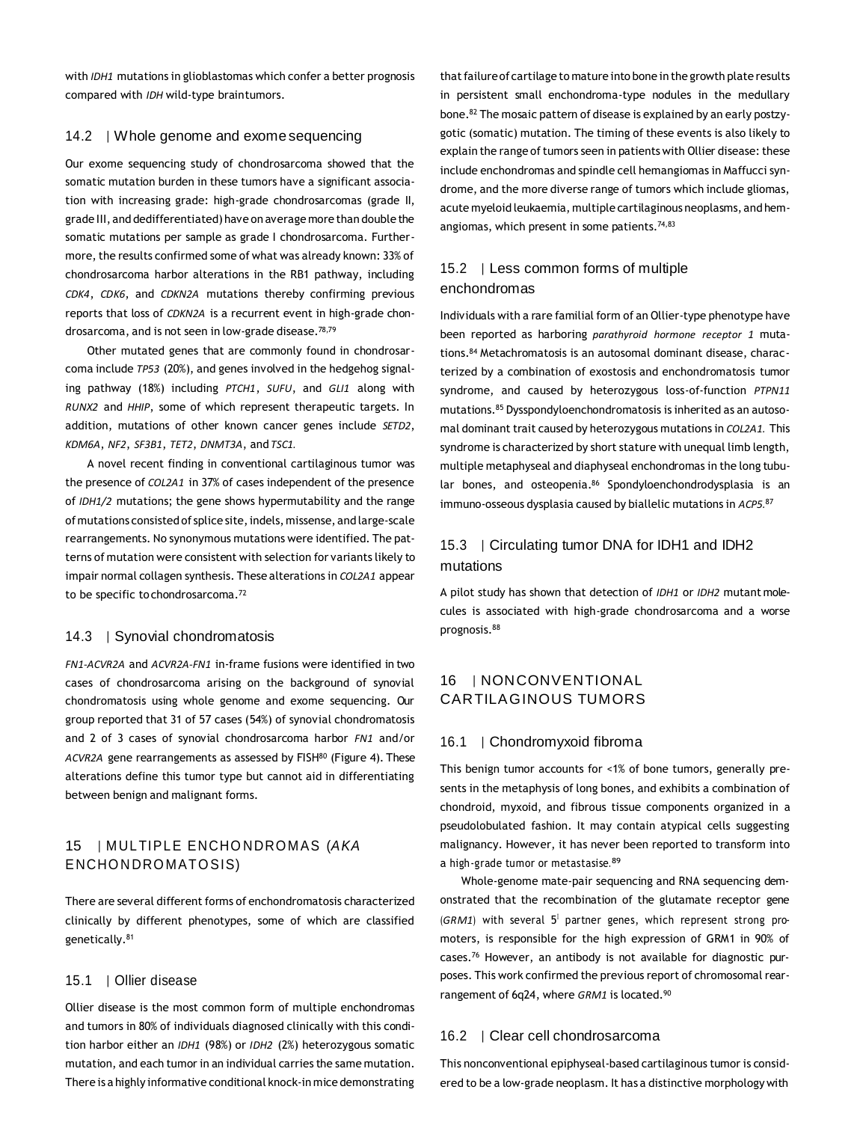with *IDH1* mutations in glioblastomas which confer a better prognosis compared with *IDH* wild-type braintumors.

#### 14.2 | Whole genome and exome sequencing

Our exome sequencing study of chondrosarcoma showed that the somatic mutation burden in these tumors have a significant association with increasing grade: high-grade chondrosarcomas (grade II, grade III, and dedifferentiated)have on average more than double the somatic mutations per sample as grade I chondrosarcoma. Furthermore, the results confirmed some of what was already known: 33% of chondrosarcoma harbor alterations in the RB1 pathway, including *CDK4*, *CDK6*, and *CDKN2A* mutations thereby confirming previous reports that loss of *CDKN2A* is a recurrent event in high-grade chondrosarcoma, and is not seen in low-grade disease.78,79

Other mutated genes that are commonly found in chondrosarcoma include *TP53* (20%), and genes involved in the hedgehog signaling pathway (18%) including *PTCH1*, *SUFU*, and *GLI1* along with *RUNX2* and *HHIP*, some of which represent therapeutic targets. In addition, mutations of other known cancer genes include *SETD2*, *KDM6A*, *NF2*, *SF3B1*, *TET2*, *DNMT3A*, and *TSC1.*

A novel recent finding in conventional cartilaginous tumor was the presence of *COL2A1* in 37% of cases independent of the presence of *IDH1/2* mutations; the gene shows hypermutability and the range ofmutations consisted of splice site,indels,missense, and large-scale rearrangements. No synonymous mutations were identified. The patterns of mutation were consistent with selection for variants likely to impair normal collagen synthesis. These alterations in *COL2A1* appear to be specific tochondrosarcoma.<sup>72</sup>

#### 14.3 | Synovial chondromatosis

*FN1-ACVR2A* and *ACVR2A-FN1* in-frame fusions were identified in two cases of chondrosarcoma arising on the background of synovial chondromatosis using whole genome and exome sequencing. Our group reported that 31 of 57 cases (54%) of synovial chondromatosis and 2 of 3 cases of synovial chondrosarcoma harbor *FN1* and/or ACVR2A gene rearrangements as assessed by FISH<sup>80</sup> (Figure 4). These alterations define this tumor type but cannot aid in differentiating between benign and malignant forms.

## 15 | MULTIPLE ENCHONDROMAS (AKA ENCHONDROMATOSIS)

There are several different forms of enchondromatosis characterized clinically by different phenotypes, some of which are classified genetically.<sup>81</sup>

#### 15.1 | Ollier disease

Ollier disease is the most common form of multiple enchondromas and tumors in 80% of individuals diagnosed clinically with this condition harbor either an *IDH1* (98%) or *IDH2* (2%) heterozygous somatic mutation, and each tumor in an individual carries the same mutation. There is a highly informative conditional knock-in mice demonstrating that failure of cartilage to mature into bone in the growth plate results in persistent small enchondroma-type nodules in the medullary bone.<sup>82</sup> The mosaic pattern of disease is explained by an early postzygotic (somatic) mutation. The timing of these events is also likely to explain the range of tumors seen in patients with Ollier disease: these include enchondromas and spindle cell hemangiomas in Maffucci syndrome, and the more diverse range of tumors which include gliomas, acute myeloid leukaemia, multiple cartilaginous neoplasms, and hemangiomas, which present in some patients.<sup>74,83</sup>

## 15.2 | Less common forms of multiple enchondromas

Individuals with a rare familial form of an Ollier-type phenotype have been reported as harboring *parathyroid hormone receptor 1* mutations.<sup>84</sup> Metachromatosis is an autosomal dominant disease, characterized by a combination of exostosis and enchondromatosis tumor syndrome, and caused by heterozygous loss-of-function *PTPN11*  mutations.<sup>85</sup> Dysspondyloenchondromatosis is inherited as an autosomal dominant trait caused by heterozygous mutations in *COL2A1.* This syndrome is characterized by short stature with unequal limb length, multiple metaphyseal and diaphyseal enchondromas in the long tubular bones, and osteopenia.<sup>86</sup> Spondyloenchondrodysplasia is an immuno-osseous dysplasia caused by biallelic mutations in *ACP5.*<sup>87</sup>

## 15.3 | Circulating tumor DNA for IDH1 and IDH2 mutations

A pilot study has shown that detection of *IDH1* or *IDH2* mutant molecules is associated with high-grade chondrosarcoma and a worse prognosis.<sup>88</sup>

## 16 | NONCONVENTIONAL CARTILAGINOUS TUMORS

#### 16.1 | Chondromyxoid fibroma

This benign tumor accounts for <1% of bone tumors, generally presents in the metaphysis of long bones, and exhibits a combination of chondroid, myxoid, and fibrous tissue components organized in a pseudolobulated fashion. It may contain atypical cells suggesting malignancy. However, it has never been reported to transform into a high-grade tumor or metastasise.<sup>89</sup>

Whole-genome mate-pair sequencing and RNA sequencing demonstrated that the recombination of the glutamate receptor gene (GRM1) with several 5<sup>1</sup> partner genes, which represent strong promoters, is responsible for the high expression of GRM1 in 90% of cases.<sup>76</sup> However, an antibody is not available for diagnostic purposes. This work confirmed the previous report of chromosomal rearrangement of 6q24, where *GRM1* is located.<sup>90</sup>

#### 16.2 | Clear cell chondrosarcoma

This nonconventional epiphyseal-based cartilaginous tumor is considered to be a low-grade neoplasm. It has a distinctive morphology with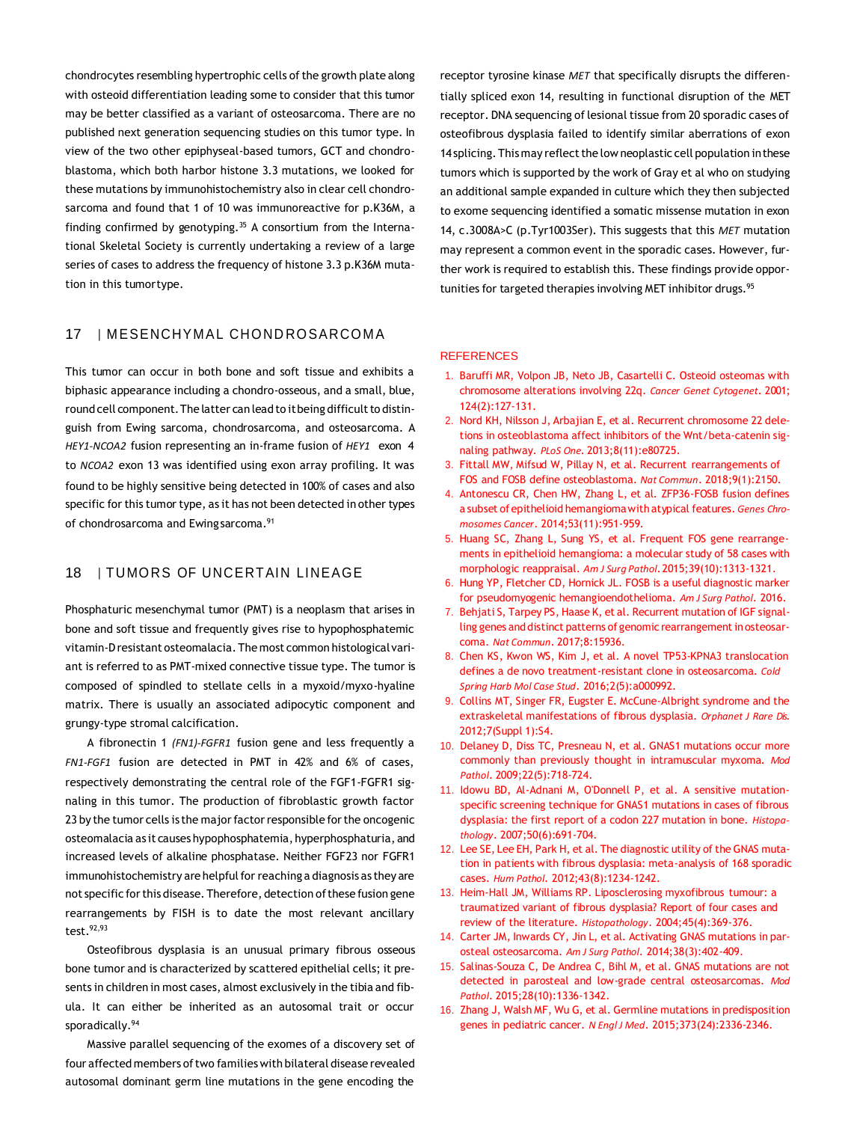chondrocytes resembling hypertrophic cells of the growth plate along with osteoid differentiation leading some to consider that this tumor may be better classified as a variant of osteosarcoma. There are no published next generation sequencing studies on this tumor type. In view of the two other epiphyseal-based tumors, GCT and chondroblastoma, which both harbor histone 3.3 mutations, we looked for these mutations by immunohistochemistry also in clear cell chondrosarcoma and found that 1 of 10 was immunoreactive for p.K36M, a finding confirmed by genotyping.<sup>35</sup> A consortium from the International Skeletal Society is currently undertaking a review of a large series of cases to address the frequency of histone 3.3 p.K36M mutation in this tumortype.

## 17 | MESENCHYMAL CHONDROSARCOMA

This tumor can occur in both bone and soft tissue and exhibits a biphasic appearance including a chondro-osseous, and a small, blue, round cell component. The latter can lead to it being difficult to distinguish from Ewing sarcoma, chondrosarcoma, and osteosarcoma. A *HEY1-NCOA2* fusion representing an in-frame fusion of *HEY1* exon 4 to *NCOA2* exon 13 was identified using exon array profiling. It was found to be highly sensitive being detected in 100% of cases and also specific for this tumor type, as it has not been detected in other types of chondrosarcoma and Ewingsarcoma.<sup>91</sup>

### 18 | TUMORS OF UNCERTAIN LINEAGE

Phosphaturic mesenchymal tumor (PMT) is a neoplasm that arises in bone and soft tissue and frequently gives rise to hypophosphatemic vitamin-D resistant osteomalacia. The most common histological variant is referred to as PMT-mixed connective tissue type. The tumor is composed of spindled to stellate cells in a myxoid/myxo-hyaline matrix. There is usually an associated adipocytic component and grungy-type stromal calcification.

A fibronectin 1 *(FN1)-FGFR1* fusion gene and less frequently a *FN1-FGF1* fusion are detected in PMT in 42% and 6% of cases, respectively demonstrating the central role of the FGF1-FGFR1 signaling in this tumor. The production of fibroblastic growth factor 23 by the tumor cells is the major factor responsible for the oncogenic osteomalacia as it causes hypophosphatemia, hyperphosphaturia, and increased levels of alkaline phosphatase. Neither FGF23 nor FGFR1 immunohistochemistry are helpful for reaching a diagnosis as they are not specific for this disease. Therefore, detection of these fusion gene rearrangements by FISH is to date the most relevant ancillary test.92,93

Osteofibrous dysplasia is an unusual primary fibrous osseous bone tumor and is characterized by scattered epithelial cells; it presents in children in most cases, almost exclusively in the tibia and fibula. It can either be inherited as an autosomal trait or occur sporadically.<sup>94</sup>

Massive parallel sequencing of the exomes of a discovery set of four affected members oftwo families with bilateral disease revealed autosomal dominant germ line mutations in the gene encoding the

receptor tyrosine kinase *MET* that specifically disrupts the differentially spliced exon 14, resulting in functional disruption of the MET receptor. DNA sequencing of lesional tissue from 20 sporadic cases of osteofibrous dysplasia failed to identify similar aberrations of exon 14 splicing. This may reflect the low neoplastic cell population in these tumors which is supported by the work of Gray et al who on studying an additional sample expanded in culture which they then subjected to exome sequencing identified a somatic missense mutation in exon 14, c.3008A>C (p.Tyr1003Ser). This suggests that this *MET* mutation may represent a common event in the sporadic cases. However, further work is required to establish this. These findings provide opportunities for targeted therapies involving MET inhibitor drugs.<sup>95</sup>

#### **REFERENCES**

- 1. Baruffi MR, Volpon JB, Neto JB, Casartelli C. Osteoid osteomas with chromosome alterations involving 22q. *Cancer Genet Cytogenet*. 2001; 124(2):127-131.
- 2. Nord KH, Nilsson J, Arbajian E, et al. Recurrent chromosome 22 deletions in osteoblastoma affect inhibitors of the Wnt/beta-catenin signaling pathway. *PLoS One*. 2013;8(11):e80725.
- 3. Fittall MW, Mifsud W, Pillay N, et al. Recurrent rearrangements of FOS and FOSB define osteoblastoma. *Nat Commun*. 2018;9(1):2150.
- 4. Antonescu CR, Chen HW, Zhang L, et al. ZFP36-FOSB fusion defines a subset of epithelioid hemangiomawith atypical features. *Genes Chromosomes Cancer*. 2014;53(11):951-959.
- 5. Huang SC, Zhang L, Sung YS, et al. Frequent FOS gene rearrangements in epithelioid hemangioma: a molecular study of 58 cases with morphologic reappraisal. *Am J Surg Pathol*.2015;39(10):1313-1321.
- 6. Hung YP, Fletcher CD, Hornick JL. FOSB is a useful diagnostic marker for pseudomyogenic hemangioendothelioma. *Am J Surg Pathol*. 2016.
- 7. Behjati S, Tarpey PS, Haase K, et al. Recurrent mutation of IGF signalling genes and distinct patterns of genomic rearrangement in osteosarcoma. *Nat Commun*. 2017;8:15936.
- 8. Chen KS, Kwon WS, Kim J, et al. A novel TP53-KPNA3 translocation defines a de novo treatment-resistant clone in osteosarcoma. *Cold Spring Harb Mol Case Stud*. 2016;2(5):a000992.
- 9. Collins MT, Singer FR, Eugster E. McCune-Albright syndrome and the extraskeletal manifestations of fibrous dysplasia. *Orphanet J Rare Dis*. 2012;7(Suppl 1):S4.
- 10. Delaney D, Diss TC, Presneau N, et al. GNAS1 mutations occur more commonly than previously thought in intramuscular myxoma. *Mod Pathol*. 2009;22(5):718-724.
- 11. Idowu BD, Al-Adnani M, O'Donnell P, et al. A sensitive mutationspecific screening technique for GNAS1 mutations in cases of fibrous dysplasia: the first report of a codon 227 mutation in bone. *Histopathology*. 2007;50(6):691-704.
- 12. Lee SE, Lee EH, Park H, et al. The diagnostic utility of the GNAS mutation in patients with fibrous dysplasia: meta-analysis of 168 sporadic cases. *Hum Pathol*. 2012;43(8):1234-1242.
- 13. Heim-Hall JM, Williams RP. Liposclerosing myxofibrous tumour: a traumatized variant of fibrous dysplasia? Report of four cases and review of the literature. *Histopathology*. 2004;45(4):369-376.
- 14. Carter JM, Inwards CY, Jin L, et al. Activating GNAS mutations in parosteal osteosarcoma. *Am J Surg Pathol*. 2014;38(3):402-409.
- 15. Salinas-Souza C, De Andrea C, Bihl M, et al. GNAS mutations are not detected in parosteal and low-grade central osteosarcomas. *Mod Pathol*. 2015;28(10):1336-1342.
- 16. Zhang J, Walsh MF, Wu G, et al. Germline mutations in predisposition genes in pediatric cancer. *N Engl J Med*. 2015;373(24):2336-2346.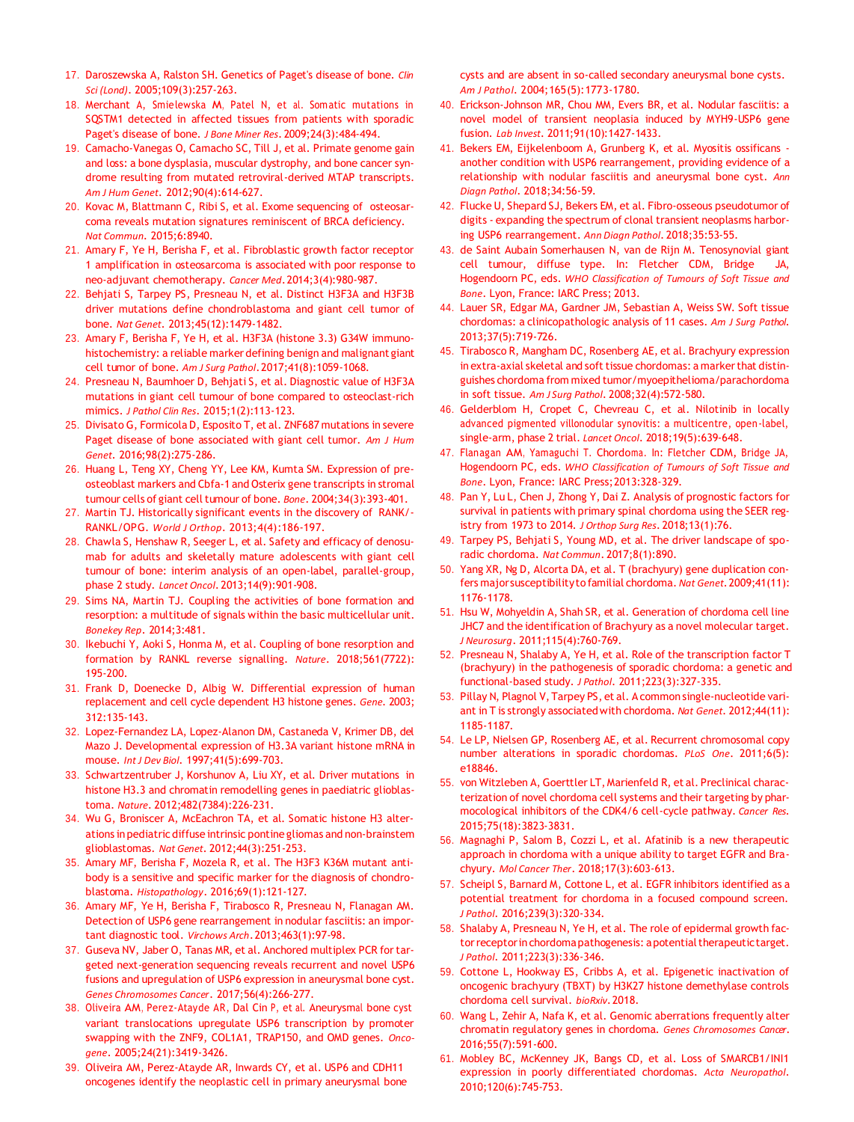- 17. Daroszewska A, Ralston SH. Genetics of Paget's disease of bone. *Clin Sci (Lond)*. 2005;109(3):257-263.
- 18. Merchant A, Smielewska M, Patel N, et al. Somatic mutations in SQSTM1 detected in affected tissues from patients with sporadic Paget's disease of bone. *J Bone Miner Res*. 2009;24(3):484-494.
- 19. Camacho-Vanegas O, Camacho SC, Till J, et al. Primate genome gain and loss: a bone dysplasia, muscular dystrophy, and bone cancer syndrome resulting from mutated retroviral-derived MTAP transcripts. *Am J Hum Genet*. 2012;90(4):614-627.
- 20. Kovac M, Blattmann C, Ribi S, et al. Exome sequencing of osteosarcoma reveals mutation signatures reminiscent of BRCA deficiency. *Nat Commun*. 2015;6:8940.
- 21. Amary F, Ye H, Berisha F, et al. Fibroblastic growth factor receptor 1 amplification in osteosarcoma is associated with poor response to neo-adjuvant chemotherapy. *Cancer Med*.2014;3(4):980-987.
- 22. Behjati S, Tarpey PS, Presneau N, et al. Distinct H3F3A and H3F3B driver mutations define chondroblastoma and giant cell tumor of bone. *Nat Genet*. 2013;45(12):1479-1482.
- 23. Amary F, Berisha F, Ye H, et al. H3F3A (histone 3.3) G34W immunohistochemistry: a reliable marker defining benign and malignant giant cell tumor of bone. *Am J Surg Pathol*.2017;41(8):1059-1068.
- 24. Presneau N, Baumhoer D, Behjati S, et al. Diagnostic value of H3F3A mutations in giant cell tumour of bone compared to osteoclast-rich mimics. *J Pathol Clin Res*. 2015;1(2):113-123.
- 25. Divisato G, Formicola D, Esposito T, et al. ZNF687 mutations in severe Paget disease of bone associated with giant cell tumor. *Am J Hum Genet*. 2016;98(2):275-286.
- 26. Huang L, Teng XY, Cheng YY, Lee KM, Kumta SM. Expression of preosteoblast markers and Cbfa-1 and Osterix gene transcripts in stromal tumour cells of giant celltumour of bone. *Bone*. 2004;34(3):393-401.
- 27. Martin TJ. Historically significant events in the discovery of RANK/- RANKL/OPG. *World J Orthop*. 2013;4(4):186-197.
- 28. Chawla S, Henshaw R, Seeger L, et al. Safety and efficacy of denosumab for adults and skeletally mature adolescents with giant cell tumour of bone: interim analysis of an open-label, parallel-group, phase 2 study. *Lancet Oncol*. 2013;14(9):901-908.
- 29. Sims NA, Martin TJ. Coupling the activities of bone formation and resorption: a multitude of signals within the basic multicellular unit. *Bonekey Rep*. 2014;3:481.
- 30. Ikebuchi Y, Aoki S, Honma M, et al. Coupling of bone resorption and formation by RANKL reverse signalling. *Nature*. 2018;561(7722): 195-200.
- 31. Frank D, Doenecke D, Albig W. Differential expression of human replacement and cell cycle dependent H3 histone genes. *Gene*. 2003; 312:135-143.
- 32. Lopez-Fernandez LA, Lopez-Alanon DM, Castaneda V, Krimer DB, del Mazo J. Developmental expression of H3.3A variant histone mRNA in mouse. *Int J Dev Biol*. 1997;41(5):699-703.
- 33. Schwartzentruber J, Korshunov A, Liu XY, et al. Driver mutations in histone H3.3 and chromatin remodelling genes in paediatric glioblastoma. *Nature*. 2012;482(7384):226-231.
- 34. Wu G, Broniscer A, McEachron TA, et al. Somatic histone H3 alterations inpediatric diffuse intrinsic pontine gliomas and non-brainstem glioblastomas. *Nat Genet*. 2012;44(3):251-253.
- 35. Amary MF, Berisha F, Mozela R, et al. The H3F3 K36M mutant antibody is a sensitive and specific marker for the diagnosis of chondroblastoma. *Histopathology*. 2016;69(1):121-127.
- 36. Amary MF, Ye H, Berisha F, Tirabosco R, Presneau N, Flanagan AM. Detection of USP6 gene rearrangement in nodular fasciitis: an important diagnostic tool. *Virchows Arch*.2013;463(1):97-98.
- 37. Guseva NV, Jaber O, Tanas MR, et al. Anchored multiplex PCR fortargeted next-generation sequencing reveals recurrent and novel USP6 fusions and upregulation of USP6 expression in aneurysmal bone cyst. *Genes Chromosomes Cancer*. 2017;56(4):266-277.
- 38. Oliveira AM, Perez-Atayde AR, Dal Cin P, et al. Aneurysmal bone cyst variant translocations upregulate USP6 transcription by promoter swapping with the ZNF9, COL1A1, TRAP150, and OMD genes. *Oncogene*. 2005;24(21):3419-3426.
- 39. Oliveira AM, Perez-Atayde AR, Inwards CY, et al. USP6 and CDH11 oncogenes identify the neoplastic cell in primary aneurysmal bone

cysts and are absent in so-called secondary aneurysmal bone cysts. *Am J Pathol*. 2004;165(5):1773-1780.

- 40. Erickson-Johnson MR, Chou MM, Evers BR, et al. Nodular fasciitis: a novel model of transient neoplasia induced by MYH9-USP6 gene fusion. *Lab Invest*. 2011;91(10):1427-1433.
- 41. Bekers EM, Eijkelenboom A, Grunberg K, et al. Myositis ossificans another condition with USP6 rearrangement, providing evidence of a relationship with nodular fasciitis and aneurysmal bone cyst. *Ann Diagn Pathol*. 2018;34:56-59.
- 42. Flucke U, Shepard SJ, Bekers EM, et al. Fibro-osseous pseudotumor of digits - expanding the spectrum of clonal transient neoplasms harboring USP6 rearrangement. *Ann Diagn Pathol*. 2018;35:53-55.
- 43. de Saint Aubain Somerhausen N, van de Rijn M. Tenosynovial giant cell tumour, diffuse type. In: Fletcher CDM, Bridge JA, Hogendoorn PC, eds. *WHO Classification of Tumours of Soft Tissue and Bone*. Lyon, France: IARC Press; 2013.
- 44. Lauer SR, Edgar MA, Gardner JM, Sebastian A, Weiss SW. Soft tissue chordomas: a clinicopathologic analysis of 11 cases. *Am J Surg Pathol*. 2013;37(5):719-726.
- 45. Tirabosco R, Mangham DC, Rosenberg AE, et al. Brachyury expression in extra-axial skeletal and soft tissue chordomas: a marker that distinguishes chordoma from mixed tumor/myoepithelioma/parachordoma in soft tissue. *Am J Surg Pathol*. 2008;32(4):572-580.
- 46. Gelderblom H, Cropet C, Chevreau C, et al. Nilotinib in locally advanced pigmented villonodular synovitis: a multicentre, open-label, single-arm, phase 2 trial. *Lancet Oncol*. 2018;19(5):639-648.
- 47. Flanagan AM, Yamaguchi T. Chordoma. In: Fletcher CDM, Bridge JA, Hogendoorn PC, eds. *WHO Classification of Tumours of Soft Tissue and Bone*. Lyon, France: IARC Press;2013:328-329.
- 48. Pan Y, Lu L, Chen J, Zhong Y, Dai Z. Analysis of prognostic factors for survival in patients with primary spinal chordoma using the SEER registry from 1973 to 2014. *J Orthop Surg Res*. 2018;13(1):76.
- 49. Tarpey PS, Behjati S, Young MD, et al. The driver landscape of sporadic chordoma. *Nat Commun*. 2017;8(1):890.
- 50. Yang XR, Ng D, Alcorta DA, et al. T (brachyury) gene duplication confers majorsusceptibilityto familial chordoma. *Nat Genet*.2009;41(11): 1176-1178.
- 51. Hsu W, Mohyeldin A, Shah SR, et al. Generation of chordoma cell line JHC7 and the identification of Brachyury as a novel molecular target. *J Neurosurg*. 2011;115(4):760-769.
- 52. Presneau N, Shalaby A, Ye H, et al. Role of the transcription factor T (brachyury) in the pathogenesis of sporadic chordoma: a genetic and functional-based study. *J Pathol*. 2011;223(3):327-335.
- 53. Pillay N, Plagnol V, Tarpey PS, et al. A common single-nucleotide variant in T is strongly associatedwith chordoma. *Nat Genet*. 2012;44(11): 1185-1187.
- 54. Le LP, Nielsen GP, Rosenberg AE, et al. Recurrent chromosomal copy number alterations in sporadic chordomas. *PLoS One*. 2011;6(5): e18846.
- 55. von Witzleben A, Goerttler LT, Marienfeld R, et al. Preclinical characterization of novel chordoma cell systems and their targeting by pharmocological inhibitors of the CDK4/6 cell-cycle pathway. *Cancer Res*. 2015;75(18):3823-3831.
- 56. Magnaghi P, Salom B, Cozzi L, et al. Afatinib is a new therapeutic approach in chordoma with a unique ability to target EGFR and Brachyury. *Mol Cancer Ther*. 2018;17(3):603-613.
- 57. Scheipl S, Barnard M, Cottone L, et al. EGFR inhibitors identified as a potential treatment for chordoma in a focused compound screen. *J Pathol*. 2016;239(3):320-334.
- 58. Shalaby A, Presneau N, Ye H, et al. The role of epidermal growth factor receptor in chordoma pathogenesis: a potential therapeutic target. *J Pathol*. 2011;223(3):336-346.
- 59. Cottone L, Hookway ES, Cribbs A, et al. Epigenetic inactivation of oncogenic brachyury (TBXT) by H3K27 histone demethylase controls chordoma cell survival. *bioRxiv*.2018.
- 60. Wang L, Zehir A, Nafa K, et al. Genomic aberrations frequently alter chromatin regulatory genes in chordoma. *Genes Chromosomes Cancer*. 2016;55(7):591-600.
- 61. Mobley BC, McKenney JK, Bangs CD, et al. Loss of SMARCB1/INI1 expression in poorly differentiated chordomas. *Acta Neuropathol*. 2010;120(6):745-753.